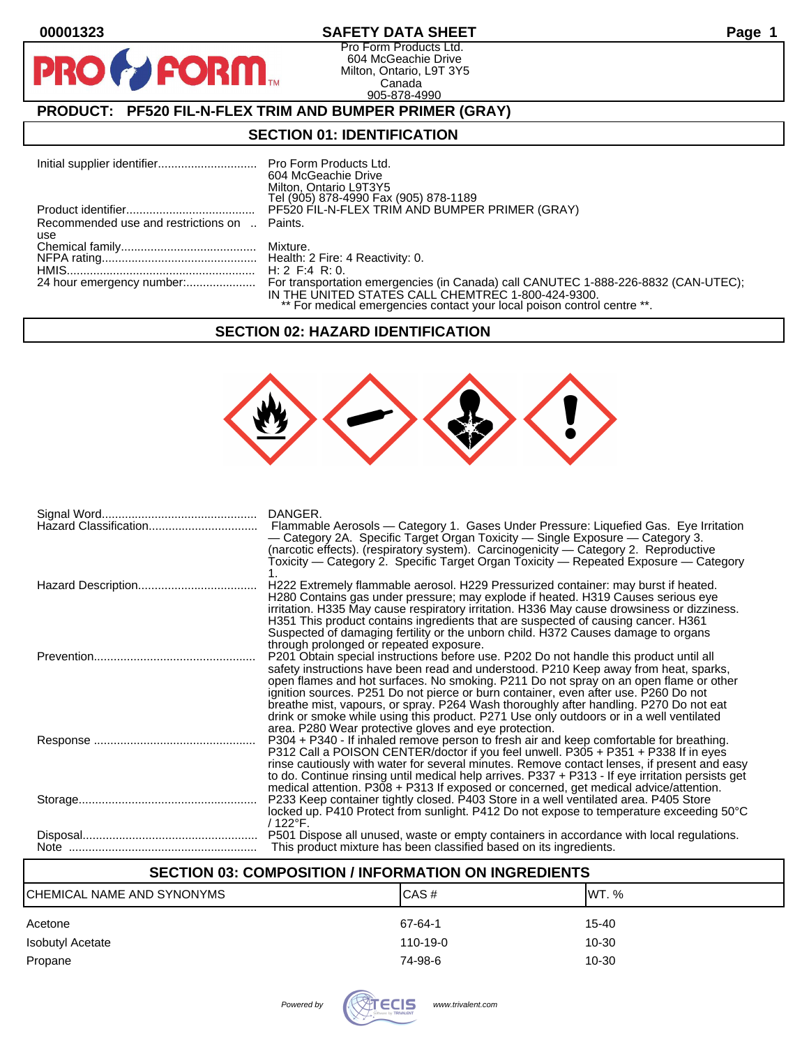**PR** 

# **00001323 SAFETY DATA SHEET Page 1**

Pro Form Products Ltd. 604 McGeachie Drive Milton, Ontario, L9T 3Y5 Canada 905-878-4990

# **PRODUCT: PF520 FIL-N-FLEX TRIM AND BUMPER PRIMER (GRAY)**

**FORM** 

#### **SECTION 01: IDENTIFICATION**

|                                              | 604 McGeachie Drive                                                     |
|----------------------------------------------|-------------------------------------------------------------------------|
|                                              | Milton, Ontario L9T3Y5<br>Tel (905) 878-4990 Fax (905) 878-1189         |
|                                              | PF520 FIL-N-FLEX TRIM AND BUMPER PRIMER (GRAY)                          |
| Recommended use and restrictions on  Paints. |                                                                         |
| use                                          |                                                                         |
|                                              |                                                                         |
|                                              | H: 2 F: 4 R: 0.                                                         |
|                                              | IN THE UNITED STATES CALL CHEMTREC 1-800-424-9300.                      |
|                                              | ** For medical emergencies contact your local poison control centre **. |

#### **SECTION 02: HAZARD IDENTIFICATION**



| Hazard Classification | DANGER.<br>Flammable Aerosols — Category 1. Gases Under Pressure: Liquefied Gas. Eye Irritation<br>- Category 2A. Specific Target Organ Toxicity - Single Exposure - Category 3.<br>(narcotic effects). (respiratory system). Carcinogenicity - Category 2. Reproductive<br>Toxicity — Category 2. Specific Target Organ Toxicity — Repeated Exposure — Category                                                                                                                                                                                   |
|-----------------------|----------------------------------------------------------------------------------------------------------------------------------------------------------------------------------------------------------------------------------------------------------------------------------------------------------------------------------------------------------------------------------------------------------------------------------------------------------------------------------------------------------------------------------------------------|
|                       | H222 Extremely flammable aerosol. H229 Pressurized container: may burst if heated.<br>H280 Contains gas under pressure; may explode if heated. H319 Causes serious eye<br>irritation. H335 May cause respiratory irritation. H336 May cause drowsiness or dizziness.<br>H351 This product contains ingredients that are suspected of causing cancer. H361<br>Suspected of damaging fertility or the unborn child. H372 Causes damage to organs<br>through prolonged or repeated exposure.                                                          |
|                       | P201 Obtain special instructions before use. P202 Do not handle this product until all<br>safety instructions have been read and understood. P210 Keep away from heat, sparks,<br>open flames and hot surfaces. No smoking. P211 Do not spray on an open flame or other<br>ignition sources. P251 Do not pierce or burn container, even after use. P260 Do not<br>breathe mist, vapours, or spray. P264 Wash thoroughly after handling. P270 Do not eat<br>drink or smoke while using this product. P271 Use only outdoors or in a well ventilated |
|                       | area. P280 Wear protective gloves and eye protection.<br>P304 + P340 - If inhaled remove person to fresh air and keep comfortable for breathing.<br>P312 Call a POISON CENTER/doctor if you feel unwell. P305 + P351 + P338 If in eyes<br>rinse cautiously with water for several minutes. Remove contact lenses, if present and easy<br>to do. Continue rinsing until medical help arrives. P337 + P313 - If eye irritation persists get<br>medical attention. P308 + P313 If exposed or concerned, get medical advice/attention.                 |
|                       | P233 Keep container tightly closed. P403 Store in a well ventilated area. P405 Store<br>locked up. P410 Protect from sunlight. P412 Do not expose to temperature exceeding 50°C<br>$/122^{\circ}$ F.                                                                                                                                                                                                                                                                                                                                               |
|                       | P501 Dispose all unused, waste or empty containers in accordance with local regulations.<br>This product mixture has been classified based on its ingredients.                                                                                                                                                                                                                                                                                                                                                                                     |

## **SECTION 03: COMPOSITION / INFORMATION ON INGREDIENTS**

| CHEMICAL NAME AND SYNONYMS | CAS#           | IWT. % |
|----------------------------|----------------|--------|
| Acetone                    | 67-64-1        | 15-40  |
| Isobutyl Acetate           | $110 - 19 - 0$ | 10-30  |
| Propane                    | 74-98-6        | 10-30  |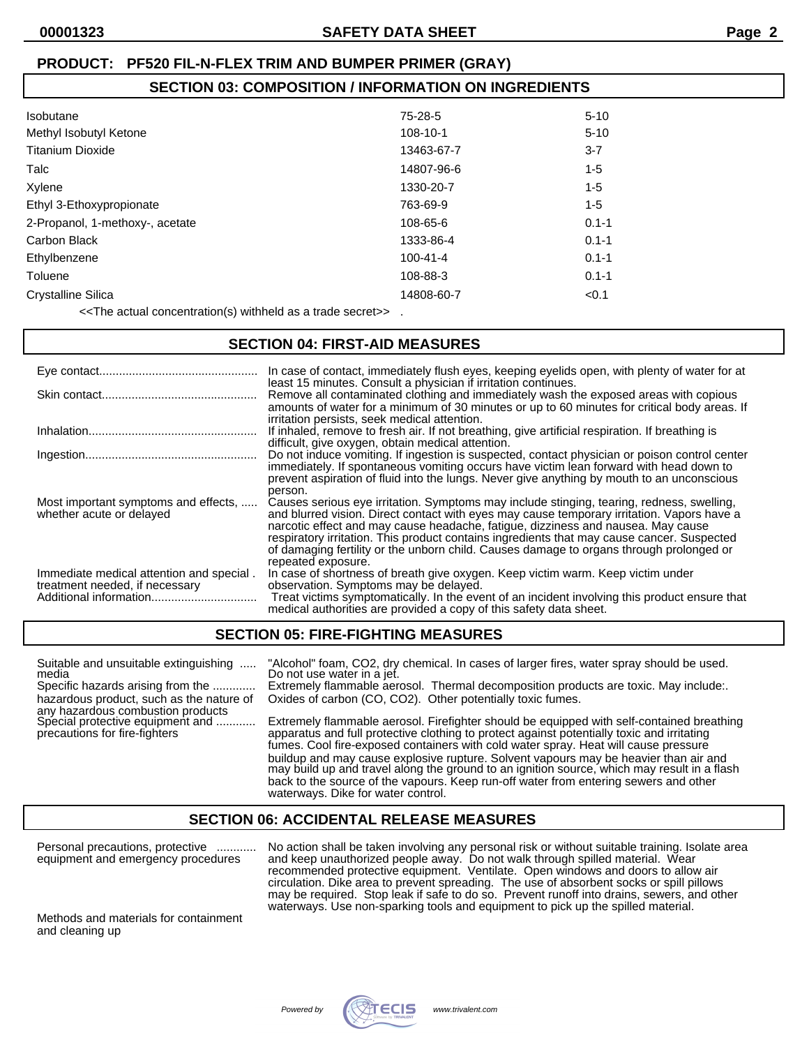## **SECTION 03: COMPOSITION / INFORMATION ON INGREDIENTS**

| <b>Isobutane</b>                | $75-28-5$      | $5 - 10$  |
|---------------------------------|----------------|-----------|
| Methyl Isobutyl Ketone          | 108-10-1       | $5 - 10$  |
| <b>Titanium Dioxide</b>         | 13463-67-7     | $3 - 7$   |
| Talc                            | 14807-96-6     | $1 - 5$   |
| Xylene                          | 1330-20-7      | $1 - 5$   |
| Ethyl 3-Ethoxypropionate        | 763-69-9       | 1-5       |
| 2-Propanol, 1-methoxy-, acetate | 108-65-6       | $0.1 - 1$ |
| Carbon Black                    | 1333-86-4      | $0.1 - 1$ |
| Ethylbenzene                    | $100 - 41 - 4$ | $0.1 - 1$ |
| Toluene                         | 108-88-3       | $0.1 - 1$ |
| <b>Crystalline Silica</b>       | 14808-60-7     | < 0.1     |
|                                 |                |           |

<<The actual concentration(s) withheld as a trade secret>> .

#### **SECTION 04: FIRST-AID MEASURES**

|                                                                            | In case of contact, immediately flush eyes, keeping eyelids open, with plenty of water for at<br>least 15 minutes. Consult a physician if irritation continues.                                                                                                                                                                                                                                                                                                                            |
|----------------------------------------------------------------------------|--------------------------------------------------------------------------------------------------------------------------------------------------------------------------------------------------------------------------------------------------------------------------------------------------------------------------------------------------------------------------------------------------------------------------------------------------------------------------------------------|
|                                                                            | Remove all contaminated clothing and immediately wash the exposed areas with copious<br>amounts of water for a minimum of 30 minutes or up to 60 minutes for critical body areas. If<br>irritation persists, seek medical attention.                                                                                                                                                                                                                                                       |
|                                                                            | If inhaled, remove to fresh air. If not breathing, give artificial respiration. If breathing is<br>difficult, give oxygen, obtain medical attention.                                                                                                                                                                                                                                                                                                                                       |
|                                                                            | Do not induce vomiting. If ingestion is suspected, contact physician or poison control center<br>immediately. If spontaneous vomiting occurs have victim lean forward with head down to<br>prevent aspiration of fluid into the lungs. Never give anything by mouth to an unconscious<br>person.                                                                                                                                                                                           |
| Most important symptoms and effects,<br>whether acute or delayed           | Causes serious eye irritation. Symptoms may include stinging, tearing, redness, swelling,<br>and blurred vision. Direct contact with eyes may cause temporary irritation. Vapors have a<br>narcotic effect and may cause headache, fatigue, dizziness and nausea. May cause<br>respiratory irritation. This product contains ingredients that may cause cancer. Suspected<br>of damaging fertility or the unborn child. Causes damage to organs through prolonged or<br>repeated exposure. |
| Immediate medical attention and special.<br>treatment needed, if necessary | In case of shortness of breath give oxygen. Keep victim warm. Keep victim under<br>observation. Symptoms may be delayed.<br>Treat victims symptomatically. In the event of an incident involving this product ensure that<br>medical authorities are provided a copy of this safety data sheet.                                                                                                                                                                                            |

### **SECTION 05: FIRE-FIGHTING MEASURES**

| Suitable and unsuitable extinguishing<br>media                                | "Alcohol" foam, CO2, dry chemical. In cases of larger fires, water spray should be used.<br>Do not use water in a jet.                                                                                                                                                         |
|-------------------------------------------------------------------------------|--------------------------------------------------------------------------------------------------------------------------------------------------------------------------------------------------------------------------------------------------------------------------------|
| Specific hazards arising from the                                             | Extremely flammable aerosol. Thermal decomposition products are toxic. May include:                                                                                                                                                                                            |
| hazardous product, such as the nature of<br>any hazardous combustion products | Oxides of carbon (CO, CO2). Other potentially toxic fumes.                                                                                                                                                                                                                     |
| Special protective equipment and<br>precautions for fire-fighters             | Extremely flammable aerosol. Firefighter should be equipped with self-contained breathing<br>apparatus and full protective clothing to protect against potentially toxic and irritating<br>fumes. Cool fire-exposed containers with cold water spray. Heat will cause pressure |
|                                                                               | buildup and may cause explosive rupture. Solvent vapours may be heavier than air and<br>may build up and travel along the ground to an ignition source, which may result in a flash<br>back to the source of the vapours. Keep run-off water from entering sewers and other    |

#### **SECTION 06: ACCIDENTAL RELEASE MEASURES**

waterways. Dike for water control.

Personal precautions, protective ............ No action shall be taken involving any personal risk or without suitable training. Isolate area equipment and emergency procedures and keep unauthorized people away. Do not walk through spilled material. Wear recommended protective equipment. Ventilate. Open windows and doors to allow air circulation. Dike area to prevent spreading. The use of absorbent socks or spill pillows may be required. Stop leak if safe to do so. Prevent runoff into drains, sewers, and other waterways. Use non-sparking tools and equipment to pick up the spilled material.

Methods and materials for containment and cleaning up

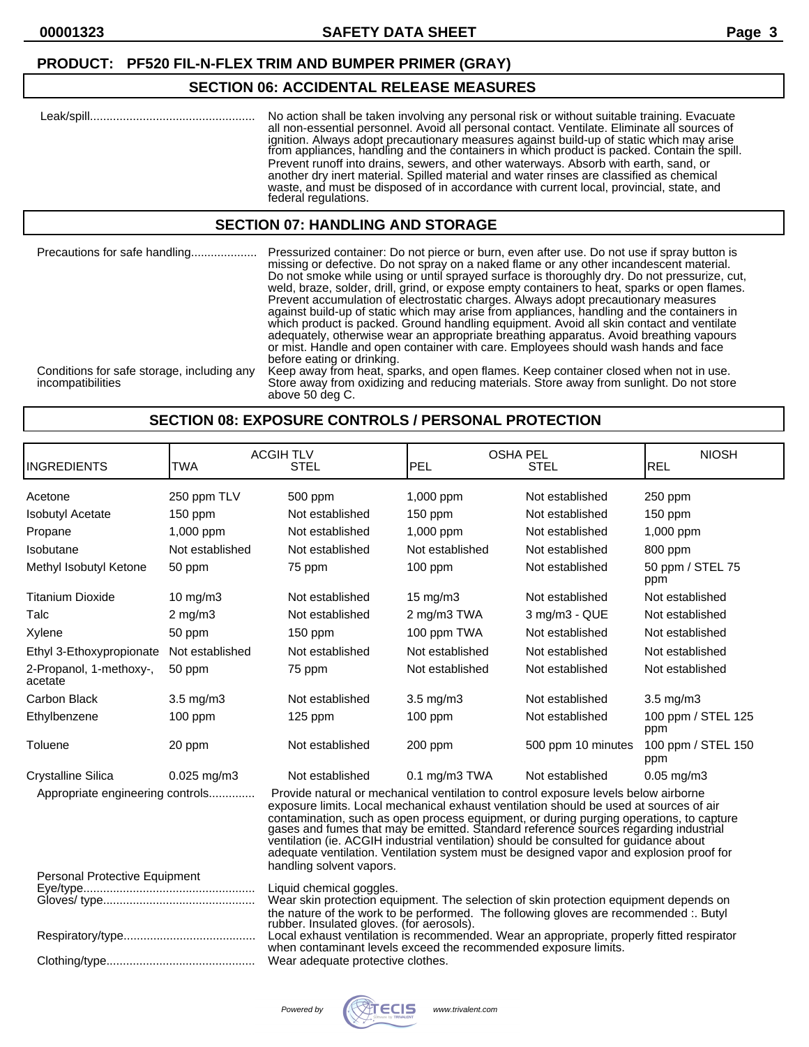#### **SECTION 06: ACCIDENTAL RELEASE MEASURES**

|  | No action shall be taken involving any personal risk or without suitable training. Evacuate<br>all non-essential personnel. Avoid all personal contact. Ventilate. Eliminate all sources of<br>ignition. Always adopt precautionary measures against build-up of static which may arise<br>from appliances, handling and the containers in which product is packed. Contain the spill.<br>Prevent runoff into drains, sewers, and other waterways. Absorb with earth, sand, or<br>another dry inert material. Spilled material and water rinses are classified as chemical<br>waste, and must be disposed of in accordance with current local, provincial, state, and<br>federal regulations. |
|--|-----------------------------------------------------------------------------------------------------------------------------------------------------------------------------------------------------------------------------------------------------------------------------------------------------------------------------------------------------------------------------------------------------------------------------------------------------------------------------------------------------------------------------------------------------------------------------------------------------------------------------------------------------------------------------------------------|
|--|-----------------------------------------------------------------------------------------------------------------------------------------------------------------------------------------------------------------------------------------------------------------------------------------------------------------------------------------------------------------------------------------------------------------------------------------------------------------------------------------------------------------------------------------------------------------------------------------------------------------------------------------------------------------------------------------------|

### **SECTION 07: HANDLING AND STORAGE**

Precautions for safe handling.................... Pressurized container: Do not pierce or burn, even after use. Do not use if spray button is missing or defective. Do not spray on a naked flame or any other incandescent material. Do not smoke while using or until sprayed surface is thoroughly dry. Do not pressurize, cut, weld, braze, solder, drill, grind, or expose empty containers to heat, sparks or open flames. Prevent accumulation of electrostatic charges. Always adopt precautionary measures against build-up of static which may arise from appliances, handling and the containers in which product is packed. Ground handling equipment. Avoid all skin contact and ventilate adequately, otherwise wear an appropriate breathing apparatus. Avoid breathing vapours or mist. Handle and open container with care. Employees should wash hands and face before eating or drinking.

Conditions for safe storage, including any Keep away from heat, sparks, and open flames. Keep container closed when not in use.<br>Store away from oxidizing and reducing materials. Store away from sunlight. Do not store Store away from oxidizing and reducing materials. Store away from sunlight. Do not store above 50 deg C.

#### **SECTION 08: EXPOSURE CONTROLS / PERSONAL PROTECTION**

| <b>INGREDIENTS</b>                                                                                                                                                                                                                                                                                                                                                                                                                                                                                                                                                                    | <b>TWA</b>                                                                                                                                                                                                                                                                                                                                                                                  | <b>ACGIH TLV</b><br><b>STEL</b> | <b>PEL</b>              | <b>OSHA PEL</b><br><b>STEL</b> | <b>NIOSH</b><br><b>REL</b> |
|---------------------------------------------------------------------------------------------------------------------------------------------------------------------------------------------------------------------------------------------------------------------------------------------------------------------------------------------------------------------------------------------------------------------------------------------------------------------------------------------------------------------------------------------------------------------------------------|---------------------------------------------------------------------------------------------------------------------------------------------------------------------------------------------------------------------------------------------------------------------------------------------------------------------------------------------------------------------------------------------|---------------------------------|-------------------------|--------------------------------|----------------------------|
| Acetone                                                                                                                                                                                                                                                                                                                                                                                                                                                                                                                                                                               | 250 ppm TLV                                                                                                                                                                                                                                                                                                                                                                                 | 500 ppm                         | 1,000 ppm               | Not established                | 250 ppm                    |
| <b>Isobutyl Acetate</b>                                                                                                                                                                                                                                                                                                                                                                                                                                                                                                                                                               | 150 ppm                                                                                                                                                                                                                                                                                                                                                                                     | Not established                 | $150$ ppm               | Not established                | 150 ppm                    |
| Propane                                                                                                                                                                                                                                                                                                                                                                                                                                                                                                                                                                               | 1,000 ppm                                                                                                                                                                                                                                                                                                                                                                                   | Not established                 | 1,000 ppm               | Not established                | 1,000 ppm                  |
| Isobutane                                                                                                                                                                                                                                                                                                                                                                                                                                                                                                                                                                             | Not established                                                                                                                                                                                                                                                                                                                                                                             | Not established                 | Not established         | Not established                | 800 ppm                    |
| Methyl Isobutyl Ketone                                                                                                                                                                                                                                                                                                                                                                                                                                                                                                                                                                | 50 ppm                                                                                                                                                                                                                                                                                                                                                                                      | 75 ppm                          | 100 ppm                 | Not established                | 50 ppm / STEL 75<br>ppm    |
| <b>Titanium Dioxide</b>                                                                                                                                                                                                                                                                                                                                                                                                                                                                                                                                                               | $10 \text{ mg/m}$                                                                                                                                                                                                                                                                                                                                                                           | Not established                 | $15 \text{ mg/m}$       | Not established                | Not established            |
| Talc                                                                                                                                                                                                                                                                                                                                                                                                                                                                                                                                                                                  | $2$ mg/m $3$                                                                                                                                                                                                                                                                                                                                                                                | Not established                 | 2 mg/m3 TWA             | 3 mg/m3 - QUE                  | Not established            |
| Xylene                                                                                                                                                                                                                                                                                                                                                                                                                                                                                                                                                                                | 50 ppm                                                                                                                                                                                                                                                                                                                                                                                      | $150$ ppm                       | 100 ppm TWA             | Not established                | Not established            |
| Ethyl 3-Ethoxypropionate                                                                                                                                                                                                                                                                                                                                                                                                                                                                                                                                                              | Not established                                                                                                                                                                                                                                                                                                                                                                             | Not established                 | Not established         | Not established                | Not established            |
| 2-Propanol, 1-methoxy-,<br>acetate                                                                                                                                                                                                                                                                                                                                                                                                                                                                                                                                                    | 50 ppm                                                                                                                                                                                                                                                                                                                                                                                      | 75 ppm                          | Not established         | Not established                | Not established            |
| <b>Carbon Black</b>                                                                                                                                                                                                                                                                                                                                                                                                                                                                                                                                                                   | $3.5$ mg/m $3$                                                                                                                                                                                                                                                                                                                                                                              | Not established                 | $3.5$ mg/m $3$          | Not established                | $3.5$ mg/m $3$             |
| Ethylbenzene                                                                                                                                                                                                                                                                                                                                                                                                                                                                                                                                                                          | $100$ ppm                                                                                                                                                                                                                                                                                                                                                                                   | $125$ ppm                       | $100$ ppm               | Not established                | 100 ppm / STEL 125<br>ppm  |
| Toluene                                                                                                                                                                                                                                                                                                                                                                                                                                                                                                                                                                               | 20 ppm                                                                                                                                                                                                                                                                                                                                                                                      | Not established                 | 200 ppm                 | 500 ppm 10 minutes             | 100 ppm / STEL 150<br>ppm  |
| <b>Crystalline Silica</b>                                                                                                                                                                                                                                                                                                                                                                                                                                                                                                                                                             | $0.025$ mg/m $3$                                                                                                                                                                                                                                                                                                                                                                            | Not established                 | $0.1 \text{ mg/m}3$ TWA | Not established                | $0.05$ mg/m $3$            |
| Provide natural or mechanical ventilation to control exposure levels below airborne<br>Appropriate engineering controls<br>exposure limits. Local mechanical exhaust ventilation should be used at sources of air<br>contamination, such as open process equipment, or during purging operations, to capture gases and fumes that may be emitted. Standard reference sources regarding industrial<br>ventilation (ie. ACGIH industrial ventilation) should be consulted for guidance about<br>adequate ventilation. Ventilation system must be designed vapor and explosion proof for |                                                                                                                                                                                                                                                                                                                                                                                             |                                 |                         |                                |                            |
| Personal Protective Equipment                                                                                                                                                                                                                                                                                                                                                                                                                                                                                                                                                         |                                                                                                                                                                                                                                                                                                                                                                                             | handling solvent vapors.        |                         |                                |                            |
|                                                                                                                                                                                                                                                                                                                                                                                                                                                                                                                                                                                       |                                                                                                                                                                                                                                                                                                                                                                                             | Liquid chemical goggles.        |                         |                                |                            |
|                                                                                                                                                                                                                                                                                                                                                                                                                                                                                                                                                                                       | Wear skin protection equipment. The selection of skin protection equipment depends on<br>the nature of the work to be performed. The following gloves are recommended :. Butyl<br>rubber. Insulated gloves. (for aerosols).<br>Local exhaust ventilation is recommended. Wear an appropriate, properly fitted respirator<br>when contaminant levels exceed the recommended exposure limits. |                                 |                         |                                |                            |

Clothing/type............................................. Wear adequate protective clothes.

Powered by **WECIS** www.trivalent.com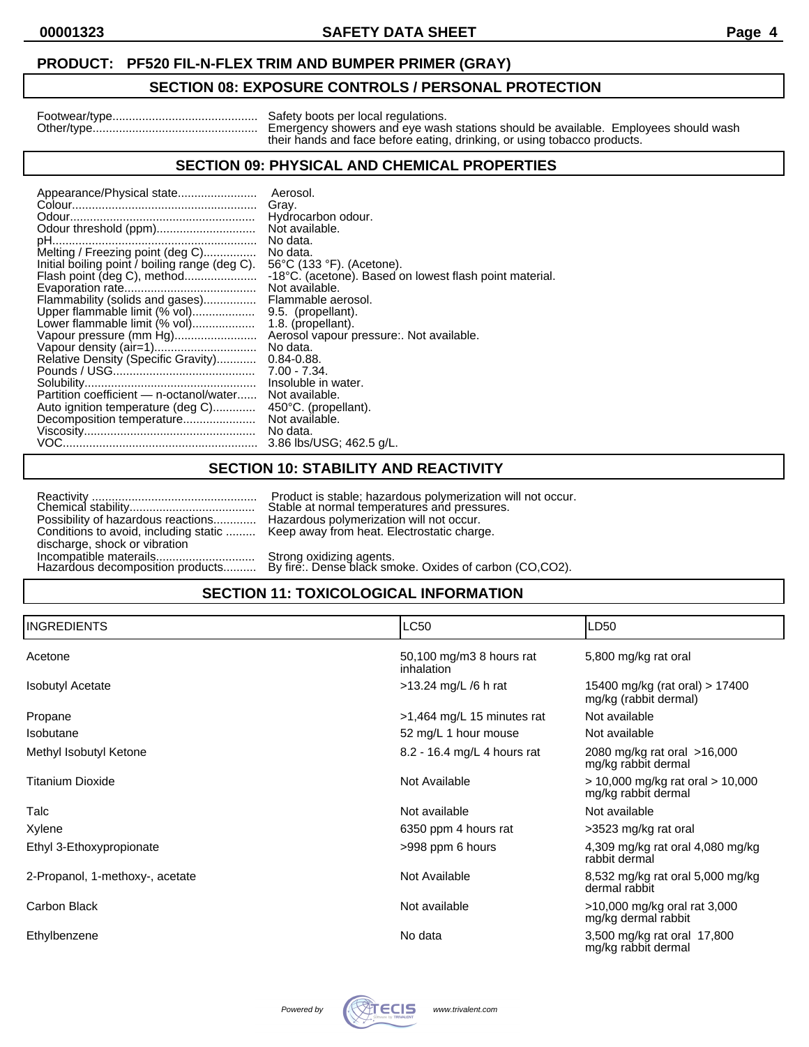## **SECTION 08: EXPOSURE CONTROLS / PERSONAL PROTECTION**

| Footwear/type |  |  |
|---------------|--|--|
| Other/type    |  |  |

Footwear/type............................................ Safety boots per local regulations. Other/type.................................................. Emergency showers and eye wash stations should be available. Employees should wash their hands and face before eating, drinking, or using tobacco products.

## **SECTION 09: PHYSICAL AND CHEMICAL PROPERTIES**

| Appearance/Physical state                      | Aerosol.                                                |
|------------------------------------------------|---------------------------------------------------------|
|                                                | Gray.                                                   |
|                                                | Hydrocarbon odour.                                      |
|                                                | Not available.                                          |
|                                                | No data.                                                |
| Melting / Freezing point (deg C)               | No data.                                                |
| Initial boiling point / boiling range (deg C). | 56°C (133 °F). (Acetone).                               |
| Flash point (deg C), method                    | -18°C. (acetone). Based on lowest flash point material. |
|                                                | Not available.                                          |
| Flammability (solids and gases)                | Flammable aerosol.                                      |
| Upper flammable limit (% vol)                  | 9.5. (propellant).                                      |
| Lower flammable limit (% vol)                  | 1.8. (propellant).                                      |
| Vapour pressure (mm Hg)                        | Aerosol vapour pressure:. Not available.                |
|                                                | No data.                                                |
| Relative Density (Specific Gravity)            | $0.84 - 0.88$ .                                         |
|                                                | $7.00 - 7.34$ .                                         |
|                                                | Insoluble in water.                                     |
| Partition coefficient — n-octanol/water        | Not available.                                          |
| Auto ignition temperature (deg C)              | 450°C. (propellant).                                    |
|                                                | Not available.                                          |
|                                                | No data.                                                |
|                                                | 3.86 lbs/USG; 462.5 g/L.                                |
|                                                |                                                         |

#### **SECTION 10: STABILITY AND REACTIVITY**

|                                                                | Product is stable; hazard                             |
|----------------------------------------------------------------|-------------------------------------------------------|
|                                                                | Stable at normal tempera                              |
| Possibility of hazardous reactions                             | Hazardous polymerizatio                               |
| Conditions to avoid, including static  Keep away from heat. El |                                                       |
| discharge, shock or vibration                                  |                                                       |
| Incompatible materails                                         | Strong oxidizing agents.<br>By fire:. Dense black sme |
| Hazardous decomposition products                               |                                                       |

Reactivity .................................................. Product is stable; hazardous polymerization will not occur. Stable at normal temperatures and pressures. Hazardous polymerization will not occur. Keep away from heat. Electrostatic charge.

# Hazardous decomposition products.......... By fire:. Dense black smoke. Oxides of carbon (CO,CO2). **SECTION 11: TOXICOLOGICAL INFORMATION**

| <b>INGREDIENTS</b>              | <b>LC50</b>                            | LD50                                                        |
|---------------------------------|----------------------------------------|-------------------------------------------------------------|
| Acetone                         | 50,100 mg/m3 8 hours rat<br>inhalation | 5,800 mg/kg rat oral                                        |
| <b>Isobutyl Acetate</b>         | >13.24 mg/L /6 h rat                   | 15400 mg/kg (rat oral) > 17400<br>mg/kg (rabbit dermal)     |
| Propane                         | >1,464 mg/L 15 minutes rat             | Not available                                               |
| Isobutane                       | 52 mg/L 1 hour mouse                   | Not available                                               |
| Methyl Isobutyl Ketone          | 8.2 - 16.4 mg/L 4 hours rat            | 2080 mg/kg rat oral >16,000<br>mg/kg rabbit dermal          |
| <b>Titanium Dioxide</b>         | Not Available                          | $> 10,000$ mg/kg rat oral $> 10,000$<br>mg/kg rabbit dermal |
| Talc                            | Not available                          | Not available                                               |
| Xylene                          | 6350 ppm 4 hours rat                   | >3523 mg/kg rat oral                                        |
| Ethyl 3-Ethoxypropionate        | >998 ppm 6 hours                       | 4,309 mg/kg rat oral 4,080 mg/kg<br>rabbit dermal           |
| 2-Propanol, 1-methoxy-, acetate | Not Available                          | 8,532 mg/kg rat oral 5,000 mg/kg<br>dermal rabbit           |
| Carbon Black                    | Not available                          | >10,000 mg/kg oral rat 3,000<br>mg/kg dermal rabbit         |
| Ethylbenzene                    | No data                                | 3,500 mg/kg rat oral 17,800<br>mg/kg rabbit dermal          |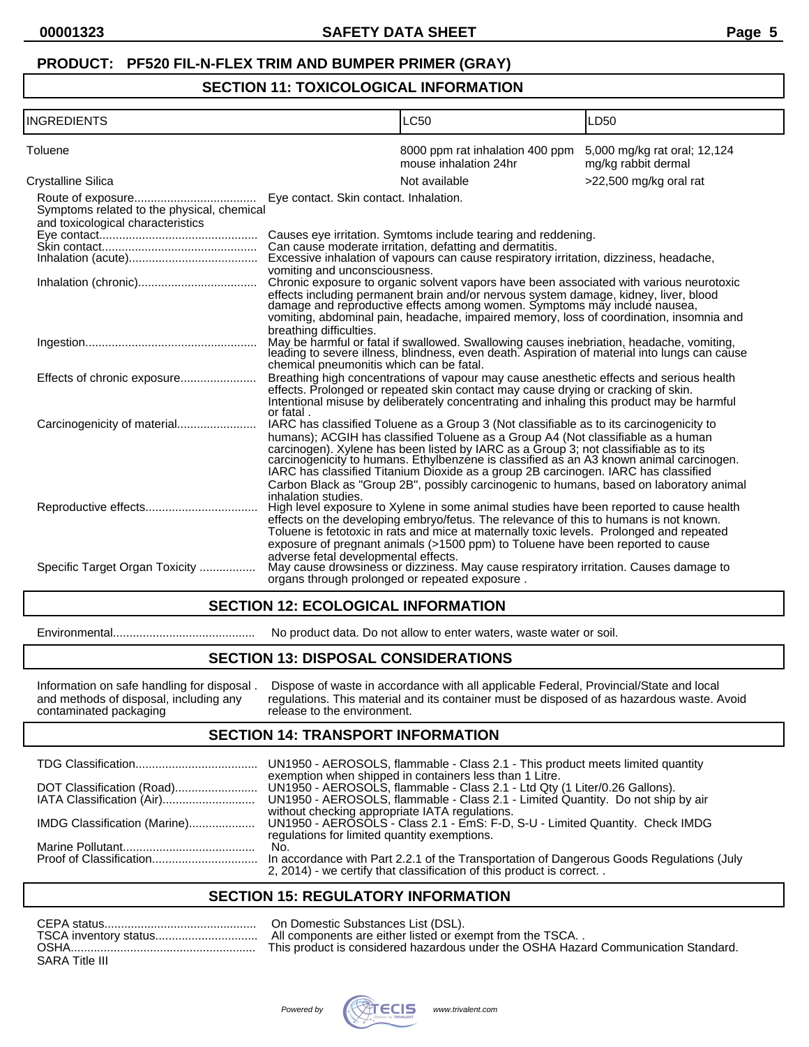### **SECTION 11: TOXICOLOGICAL INFORMATION**

| <b>INGREDIENTS</b>                                                              |                                          | LC50                                                                                                                                                                                                                                                                                                                                                                                                                                                                                                                                            | LD50                                                |
|---------------------------------------------------------------------------------|------------------------------------------|-------------------------------------------------------------------------------------------------------------------------------------------------------------------------------------------------------------------------------------------------------------------------------------------------------------------------------------------------------------------------------------------------------------------------------------------------------------------------------------------------------------------------------------------------|-----------------------------------------------------|
| Toluene                                                                         |                                          | 8000 ppm rat inhalation 400 ppm<br>mouse inhalation 24hr                                                                                                                                                                                                                                                                                                                                                                                                                                                                                        | 5,000 mg/kg rat oral; 12,124<br>mg/kg rabbit dermal |
| Crystalline Silica                                                              |                                          | Not available                                                                                                                                                                                                                                                                                                                                                                                                                                                                                                                                   | >22,500 mg/kg oral rat                              |
| Symptoms related to the physical, chemical<br>and toxicological characteristics | vomiting and unconsciousness.            | Causes eye irritation. Symtoms include tearing and reddening.<br>Can cause moderate irritation, defatting and dermatitis.<br>Excessive inhalation of vapours can cause respiratory irritation, dizziness, headache,                                                                                                                                                                                                                                                                                                                             |                                                     |
|                                                                                 | breathing difficulties.                  | Chronic exposure to organic solvent vapors have been associated with various neurotoxic<br>effects including permanent brain and/or nervous system damage, kidney, liver, blood<br>damage and reproductive effects among women. Symptoms may include nausea,<br>vomiting, abdominal pain, headache, impaired memory, loss of coordination, insomnia and                                                                                                                                                                                         |                                                     |
|                                                                                 | chemical pneumonitis which can be fatal. | May be harmful or fatal if swallowed. Swallowing causes inebriation, headache, vomiting, leading to severe illness, blindness, even death. Aspiration of material into lungs can cause                                                                                                                                                                                                                                                                                                                                                          |                                                     |
|                                                                                 | or fatal.                                | Breathing high concentrations of vapour may cause anesthetic effects and serious health<br>effects. Prolonged or repeated skin contact may cause drying or cracking of skin.<br>Intentional misuse by deliberately concentrating and inhaling this product may be harmful                                                                                                                                                                                                                                                                       |                                                     |
|                                                                                 | inhalation studies.                      | IARC has classified Toluene as a Group 3 (Not classifiable as to its carcinogenicity to<br>humans); ACGIH has classified Toluene as a Group A4 (Not classifiable as a human<br>carcinogen). Xylene has been listed by IARC as a Group 3; not classifiable as to its<br>carcinogenicity to humans. Ethylbenzene is classified as an A3 known animal carcinogen.<br>IARC has classified Titanium Dioxide as a group 2B carcinogen. IARC has classified<br>Carbon Black as "Group 2B", possibly carcinogenic to humans, based on laboratory animal |                                                     |
|                                                                                 | adverse fetal developmental effects.     | High level exposure to Xylene in some animal studies have been reported to cause health<br>effects on the developing embryo/fetus. The relevance of this to humans is not known.<br>Toluene is fetotoxic in rats and mice at maternally toxic levels. Prolonged and repeated<br>exposure of pregnant animals (>1500 ppm) to Toluene have been reported to cause                                                                                                                                                                                 |                                                     |
| Specific Target Organ Toxicity                                                  |                                          | May cause drowsiness or dizziness. May cause respiratory irritation. Causes damage to<br>organs through prolonged or repeated exposure.                                                                                                                                                                                                                                                                                                                                                                                                         |                                                     |

#### **SECTION 12: ECOLOGICAL INFORMATION**

Environmental........................................... No product data. Do not allow to enter waters, waste water or soil.

## **SECTION 13: DISPOSAL CONSIDERATIONS**

| Information on safe handling for disposal. | Dispose of waste in accordance with all applicable Federal, Provincial/State and local     |
|--------------------------------------------|--------------------------------------------------------------------------------------------|
| and methods of disposal, including any     | regulations. This material and its container must be disposed of as hazardous waste. Avoid |
| contaminated packaging                     | release to the environment.                                                                |

#### **SECTION 14: TRANSPORT INFORMATION**

|                              | UN1950 - AEROSOLS, flammable - Class 2.1 - This product meets limited quantity<br>exemption when shipped in containers less than 1 Litre.                        |
|------------------------------|------------------------------------------------------------------------------------------------------------------------------------------------------------------|
|                              | UN1950 - AEROSOLS, flammable - Class 2.1 - Ltd Qty (1 Liter/0.26 Gallons).                                                                                       |
|                              | UN1950 - AEROSOLS, flammable - Class 2.1 - Limited Quantity. Do not ship by air<br>without checking appropriate IATA regulations.                                |
| IMDG Classification (Marine) | UN1950 - AEROSOLS - Class 2.1 - EmS: F-D, S-U - Limited Quantity. Check IMDG<br>regulations for limited quantity exemptions.                                     |
|                              | No.                                                                                                                                                              |
|                              | In accordance with Part 2.2.1 of the Transportation of Dangerous Goods Regulations (July<br>2, 2014) - we certify that classification of this product is correct |

#### **SECTION 15: REGULATORY INFORMATION**

| TSCA inventory status |
|-----------------------|
|                       |
| <b>SARA Title III</b> |

On Domestic Substances List (DSL). All components are either listed or exempt from the TSCA. . This product is considered hazardous under the OSHA Hazard Communication Standard.